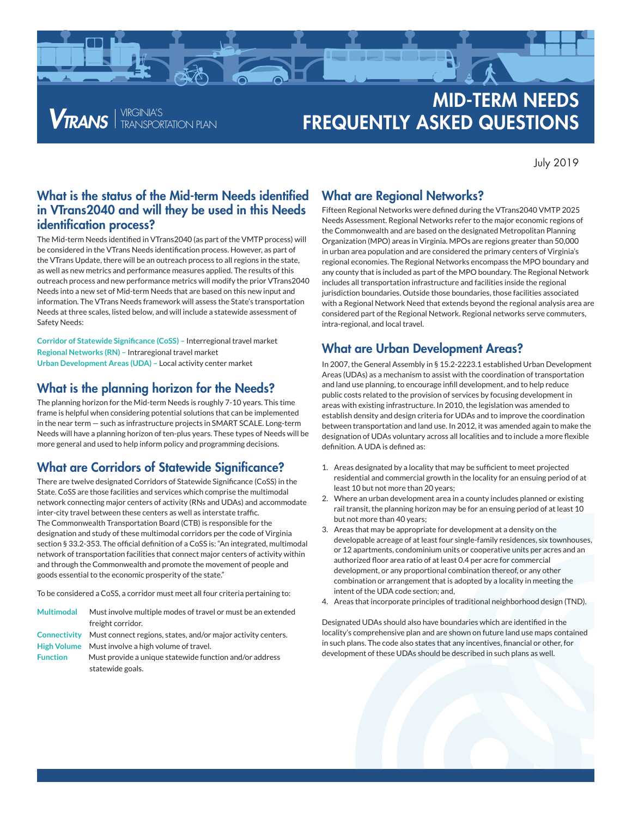

**VTRANS** FRANSPORTATION PLAN

# MID-TERM NEEDS **FREQUENTLY ASKED QUESTIONS**

July 2019

#### What is the status of the Mid-term Needs identified in VTrans2040 and will they be used in this Needs identification process?

The Mid-term Needs identified in VTrans2040 (as part of the VMTP process) will be considered in the VTrans Needs identification process. However, as part of the VTrans Update, there will be an outreach process to all regions in the state, as well as new metrics and performance measures applied. The results of this outreach process and new performance metrics will modify the prior VTrans2040 Needs into a new set of Mid-term Needs that are based on this new input and information. The VTrans Needs framework will assess the State's transportation Needs at three scales, listed below, and will include a statewide assessment of Safety Needs:

**Corridor of Statewide Significance (CoSS) –** Interregional travel market **Regional Networks (RN) –** Intraregional travel market **Urban Development Areas (UDA) –** Local activity center market

#### What is the planning horizon for the Needs?

The planning horizon for the Mid-term Needs is roughly 7-10 years. This time frame is helpful when considering potential solutions that can be implemented in the near term — such as infrastructure projects in SMART SCALE. Long-term Needs will have a planning horizon of ten-plus years. These types of Needs will be more general and used to help inform policy and programming decisions.

## What are Corridors of Statewide Significance?

There are twelve designated Corridors of Statewide Significance (CoSS) in the State. CoSS are those facilities and services which comprise the multimodal network connecting major centers of activity (RNs and UDAs) and accommodate inter-city travel between these centers as well as interstate traffic. The Commonwealth Transportation Board (CTB) is responsible for the designation and study of these multimodal corridors per the code of Virginia section § 33.2-353. The official definition of a CoSS is: "An integrated, multimodal network of transportation facilities that connect major centers of activity within and through the Commonwealth and promote the movement of people and goods essential to the economic prosperity of the state."

To be considered a CoSS, a corridor must meet all four criteria pertaining to:

| Multimodal      | Must involve multiple modes of travel or must be an extended<br>freight corridor. |
|-----------------|-----------------------------------------------------------------------------------|
|                 |                                                                                   |
|                 | Connectivity Must connect regions, states, and/or major activity centers.         |
|                 | High Volume Must involve a high volume of travel.                                 |
| <b>Function</b> | Must provide a unique statewide function and/or address                           |
|                 | statewide goals.                                                                  |

## What are Regional Networks?

Fifteen Regional Networks were defined during the VTrans2040 VMTP 2025 Needs Assessment. Regional Networks refer to the major economic regions of the Commonwealth and are based on the designated Metropolitan Planning Organization (MPO) areas in Virginia. MPOs are regions greater than 50,000 in urban area population and are considered the primary centers of Virginia's regional economies. The Regional Networks encompass the MPO boundary and any county that is included as part of the MPO boundary. The Regional Network includes all transportation infrastructure and facilities inside the regional jurisdiction boundaries. Outside those boundaries, those facilities associated with a Regional Network Need that extends beyond the regional analysis area are considered part of the Regional Network. Regional networks serve commuters, intra-regional, and local travel.

# What are Urban Development Areas?

In 2007, the General Assembly in § 15.2-2223.1 established Urban Development Areas (UDAs) as a mechanism to assist with the coordination of transportation and land use planning, to encourage infill development, and to help reduce public costs related to the provision of services by focusing development in areas with existing infrastructure. In 2010, the legislation was amended to establish density and design criteria for UDAs and to improve the coordination between transportation and land use. In 2012, it was amended again to make the designation of UDAs voluntary across all localities and to include a more flexible definition. A UDA is defined as:

- 1. Areas designated by a locality that may be sufficient to meet projected residential and commercial growth in the locality for an ensuing period of at least 10 but not more than 20 years;
- 2. Where an urban development area in a county includes planned or existing rail transit, the planning horizon may be for an ensuing period of at least 10 but not more than 40 years;
- 3. Areas that may be appropriate for development at a density on the developable acreage of at least four single-family residences, six townhouses, or 12 apartments, condominium units or cooperative units per acres and an authorized floor area ratio of at least 0.4 per acre for commercial development, or any proportional combination thereof, or any other combination or arrangement that is adopted by a locality in meeting the intent of the UDA code section; and,
- 4. Areas that incorporate principles of traditional neighborhood design (TND).

Designated UDAs should also have boundaries which are identified in the locality's comprehensive plan and are shown on future land use maps contained in such plans. The code also states that any incentives, financial or other, for development of these UDAs should be described in such plans as well.